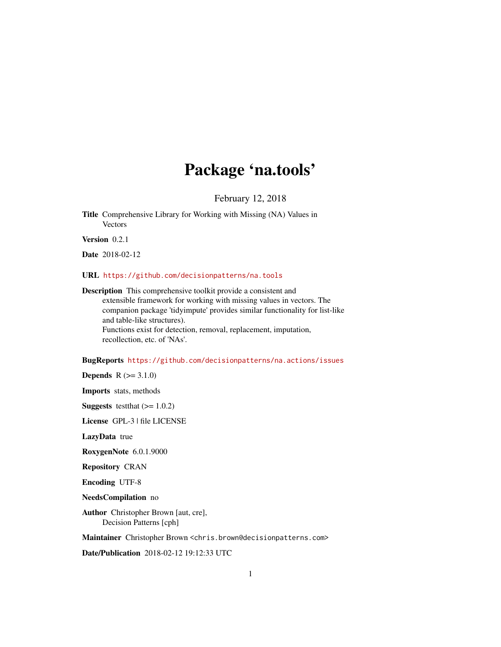# Package 'na.tools'

February 12, 2018

<span id="page-0-0"></span>Title Comprehensive Library for Working with Missing (NA) Values in **Vectors** 

Version 0.2.1

Date 2018-02-12

URL <https://github.com/decisionpatterns/na.tools>

Description This comprehensive toolkit provide a consistent and extensible framework for working with missing values in vectors. The companion package 'tidyimpute' provides similar functionality for list-like and table-like structures). Functions exist for detection, removal, replacement, imputation, recollection, etc. of 'NAs'.

BugReports <https://github.com/decisionpatterns/na.actions/issues>

**Depends**  $R (= 3.1.0)$ 

Imports stats, methods

**Suggests** test that  $(>= 1.0.2)$ 

License GPL-3 | file LICENSE

LazyData true

RoxygenNote 6.0.1.9000

Repository CRAN

Encoding UTF-8

NeedsCompilation no

Author Christopher Brown [aut, cre], Decision Patterns [cph]

Maintainer Christopher Brown <chris.brown@decisionpatterns.com>

Date/Publication 2018-02-12 19:12:33 UTC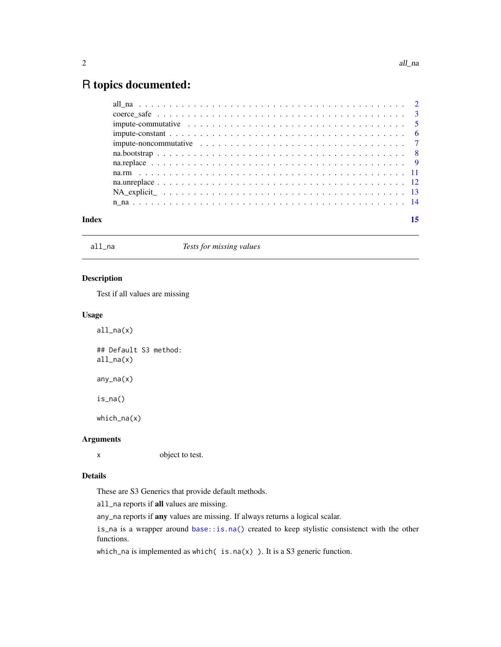## <span id="page-1-0"></span>R topics documented:

| Index |                                                                                                            |  |  |  |  |  |  |  |  |  |  |  |  |  |  | 15 |
|-------|------------------------------------------------------------------------------------------------------------|--|--|--|--|--|--|--|--|--|--|--|--|--|--|----|
|       |                                                                                                            |  |  |  |  |  |  |  |  |  |  |  |  |  |  |    |
|       |                                                                                                            |  |  |  |  |  |  |  |  |  |  |  |  |  |  |    |
|       |                                                                                                            |  |  |  |  |  |  |  |  |  |  |  |  |  |  |    |
|       |                                                                                                            |  |  |  |  |  |  |  |  |  |  |  |  |  |  |    |
|       |                                                                                                            |  |  |  |  |  |  |  |  |  |  |  |  |  |  |    |
|       |                                                                                                            |  |  |  |  |  |  |  |  |  |  |  |  |  |  |    |
|       |                                                                                                            |  |  |  |  |  |  |  |  |  |  |  |  |  |  |    |
|       |                                                                                                            |  |  |  |  |  |  |  |  |  |  |  |  |  |  |    |
|       | impute-commutative $\ldots \ldots \ldots \ldots \ldots \ldots \ldots \ldots \ldots \ldots \ldots \ldots 5$ |  |  |  |  |  |  |  |  |  |  |  |  |  |  |    |
|       |                                                                                                            |  |  |  |  |  |  |  |  |  |  |  |  |  |  |    |
|       |                                                                                                            |  |  |  |  |  |  |  |  |  |  |  |  |  |  |    |

<span id="page-1-1"></span>

all\_na *Tests for missing values*

## Description

Test if all values are missing

## Usage

all\_na(x) ## Default S3 method: all\_na(x) any\_na(x) is\_na() which\_na(x)

## Arguments

x object to test.

## Details

These are S3 Generics that provide default methods.

all\_na reports if all values are missing.

any\_na reports if any values are missing. If always returns a logical scalar.

is\_na is a wrapper around [base::is.na\(\)](#page-0-0) created to keep stylistic consistenct with the other functions.

which\_na is implemented as which( $is.na(x)$ ). It is a S3 generic function.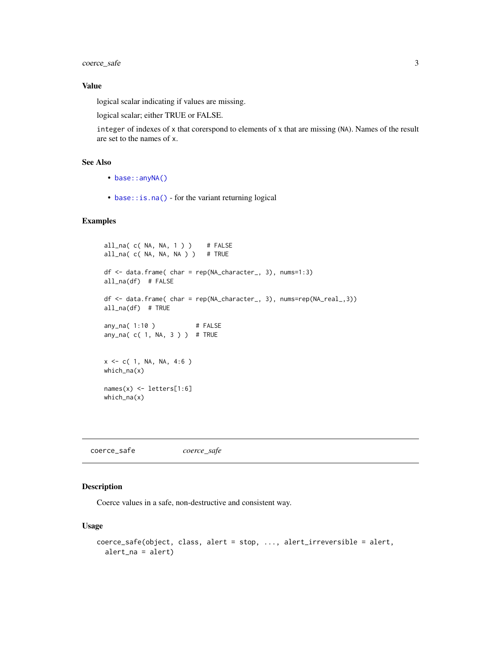<span id="page-2-0"></span>coerce\_safe 3

#### Value

logical scalar indicating if values are missing.

logical scalar; either TRUE or FALSE.

integer of indexes of x that corerspond to elements of x that are missing (NA). Names of the result are set to the names of x.

## See Also

- [base::anyNA\(\)](#page-0-0)
- base:: is.na() for the variant returning logical

## Examples

```
all_na( c( NA, NA, 1 ) ) # FALSE
all_na(c( NA, NA, NA)) # TRUE
df <- data.frame( char = rep(NA_character_, 3), nums=1:3)
all_na(df) # FALSE
df <- data.frame( char = rep(NA_character_, 3), nums=rep(NA_real_,3))
all_na(df) # TRUE
any_na( 1:10 ) # FALSE
any_na( c( 1, NA, 3 ) ) # TRUE
x \leq -c(1, NA, NA, 4:6)which_na(x)
names(x) <- letters[1:6]
which_na(x)
```
coerce\_safe *coerce\_safe*

## Description

Coerce values in a safe, non-destructive and consistent way.

## Usage

```
coerce_safe(object, class, alert = stop, ..., alert_irreversible = alert,
  alert_na = alert)
```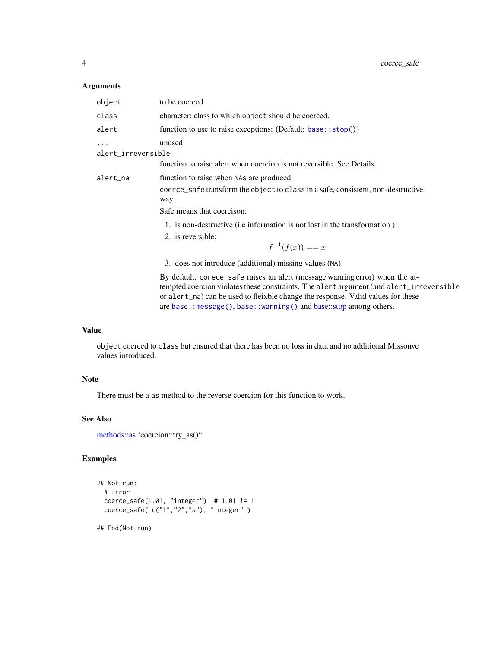## <span id="page-3-0"></span>Arguments

| class<br>character; class to which object should be coerced.<br>function to use to raise exceptions: (Default: base::stop())<br>alert<br>unused<br>alert_irreversible<br>function to raise alert when coercion is not reversible. See Details.<br>alert_na<br>function to raise when NAs are produced.<br>coerce_safe transform the object to class in a safe, consistent, non-destructive<br>way.<br>Safe means that coercison:<br>1. is non-destructive (i.e information is not lost in the transformation)<br>2. is reversible:<br>$f^{-1}(f(x)) == x$<br>3. does not introduce (additional) missing values (NA)<br>By default, corece_safe raises an alert (message warning lerror) when the at-<br>tempted coercion violates these constraints. The alert argument (and alert_irreversible<br>or alert_na) can be used to fleixble change the response. Valid values for these<br>are base:: message(), base:: warning() and base:: stop among others. | object | to be coerced |
|-------------------------------------------------------------------------------------------------------------------------------------------------------------------------------------------------------------------------------------------------------------------------------------------------------------------------------------------------------------------------------------------------------------------------------------------------------------------------------------------------------------------------------------------------------------------------------------------------------------------------------------------------------------------------------------------------------------------------------------------------------------------------------------------------------------------------------------------------------------------------------------------------------------------------------------------------------------|--------|---------------|
|                                                                                                                                                                                                                                                                                                                                                                                                                                                                                                                                                                                                                                                                                                                                                                                                                                                                                                                                                             |        |               |
|                                                                                                                                                                                                                                                                                                                                                                                                                                                                                                                                                                                                                                                                                                                                                                                                                                                                                                                                                             |        |               |
|                                                                                                                                                                                                                                                                                                                                                                                                                                                                                                                                                                                                                                                                                                                                                                                                                                                                                                                                                             |        |               |
|                                                                                                                                                                                                                                                                                                                                                                                                                                                                                                                                                                                                                                                                                                                                                                                                                                                                                                                                                             |        |               |
|                                                                                                                                                                                                                                                                                                                                                                                                                                                                                                                                                                                                                                                                                                                                                                                                                                                                                                                                                             |        |               |
|                                                                                                                                                                                                                                                                                                                                                                                                                                                                                                                                                                                                                                                                                                                                                                                                                                                                                                                                                             |        |               |

## Value

object coerced to class but ensured that there has been no loss in data and no additional Missonve values introduced.

## Note

There must be a as method to the reverse coercion for this function to work.

## See Also

[methods::as](#page-0-0) 'coercion::try\_as()"

## Examples

```
## Not run:
  # Error
  coerce_safe(1.01, "integer") # 1.01 != 1
  coerce_safe( c("1","2","a"), "integer" )
```
## End(Not run)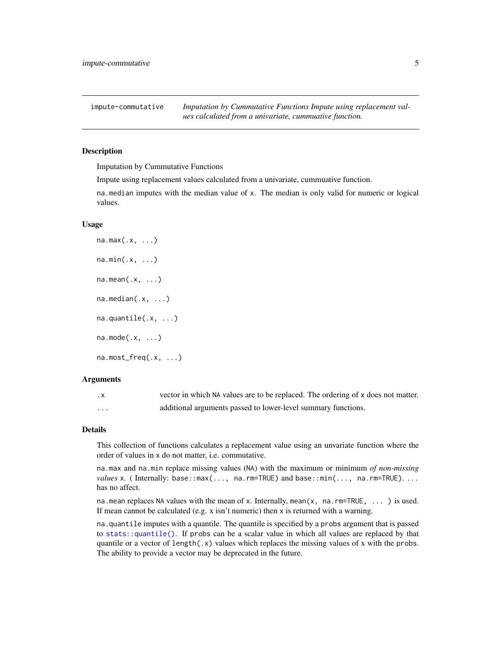<span id="page-4-1"></span><span id="page-4-0"></span>impute-commutative *Imputation by Cummutative Functions Impute using replacement values calculated from a univariate, cummuative function.*

### **Description**

Imputation by Cummutative Functions

Impute using replacement values calculated from a univariate, cummuative function.

na.median imputes with the median value of x. The median is only valid for numeric or logical values.

#### Usage

```
na.max(.x, ...)
n a.min(.x, ...)na.macan(.x, ...)na.median(.x, ...)
na.quantile(.x, ...)
na.mode(.x, ...)
na.most_freq(.x, ...)
```
#### Arguments

| $\cdot$ X | vector in which NA values are to be replaced. The ordering of x does not matter. |
|-----------|----------------------------------------------------------------------------------|
| .         | additional arguments passed to lower-level summary functions.                    |

#### Details

This collection of functions calculates a replacement value using an unvariate function where the order of values in x do not matter, i.e. commutative.

na.max and na.min replace missing values (NA) with the maximum or minimum *of non-missing values* x. (Internally: base::max(..., na.rm=TRUE) and base::min(..., na.rm=TRUE).... has no affect.

na.mean replaces NA values with the mean of x. Internally, mean(x, na.rm=TRUE, ... ) is used. If mean cannot be calculated (e.g. x isn't numeric) then x is returned with a warning.

na.quantile imputes with a quantile. The quantile is specified by a probs argument that is passed to [stats::quantile\(\)](#page-0-0). If probs can be a scalar value in which all values are replaced by that quantile or a vector of length $(x)$  values which replaces the missing values of x with the probs. The ability to provide a vector may be deprecated in the future.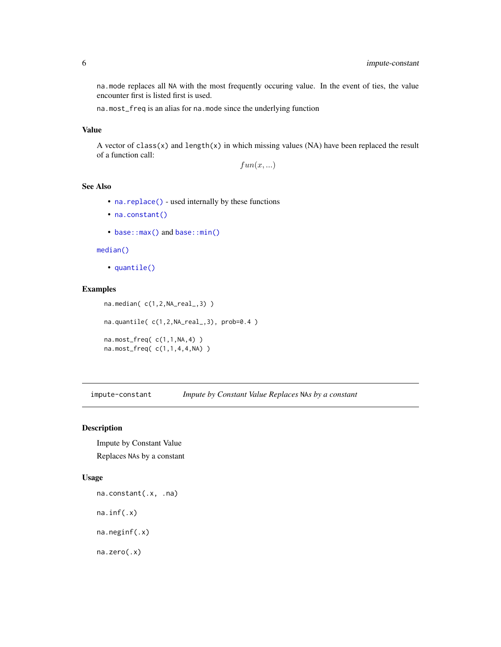<span id="page-5-0"></span>na.mode replaces all NA with the most frequently occuring value. In the event of ties, the value encounter first is listed first is used.

na.most\_freq is an alias for na.mode since the underlying function

## Value

A vector of class(x) and length(x) in which missing values (NA) have been replaced the result of a function call:

 $fun(x, ...)$ 

## See Also

- [na.replace\(\)](#page-8-1) used internally by these functions
- [na.constant\(\)](#page-5-1)
- [base::max\(\)](#page-0-0) and [base::min\(\)](#page-0-0)

#### [median\(\)](#page-0-0)

• [quantile\(\)](#page-0-0)

## Examples

```
na.median( c(1,2,NA_real_,3) )
na.quantile( c(1,2,NA_real_,3), prob=0.4 )
na.most_freq( c(1,1,NA,4) )
na.most_freq( c(1,1,4,4,NA) )
```
impute-constant *Impute by Constant Value Replaces* NA*s by a constant*

#### <span id="page-5-1"></span>Description

Impute by Constant Value Replaces NAs by a constant

#### Usage

na.constant(.x, .na) na.inf(.x) na.neginf(.x) na.zero(.x)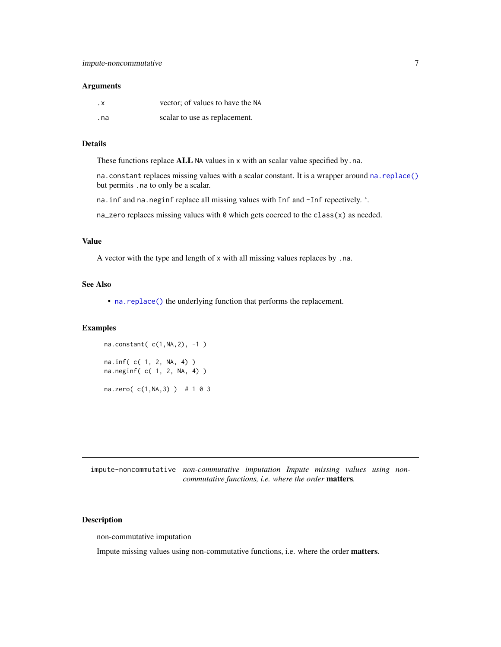#### <span id="page-6-0"></span>**Arguments**

| . х  | vector; of values to have the NA |
|------|----------------------------------|
| . na | scalar to use as replacement.    |

## Details

These functions replace ALL NA values in x with an scalar value specified by .na.

na.constant replaces missing values with a scalar constant. It is a wrapper around [na.replace\(\)](#page-8-1) but permits .na to only be a scalar.

na.inf and na.neginf replace all missing values with Inf and -Inf repectively. '.

na\_zero replaces missing values with  $\theta$  which gets coerced to the class(x) as needed.

#### Value

A vector with the type and length of x with all missing values replaces by .na.

#### See Also

• [na.replace\(\)](#page-8-1) the underlying function that performs the replacement.

## Examples

na.constant( c(1,NA,2), -1 ) na.inf( c( 1, 2, NA, 4) ) na.neginf( c( 1, 2, NA, 4) ) na.zero( c(1,NA,3) ) # 1 0 3

impute-noncommutative *non-commutative imputation Impute missing values using noncommutative functions, i.e. where the order* matters*.*

#### Description

non-commutative imputation

Impute missing values using non-commutative functions, i.e. where the order matters.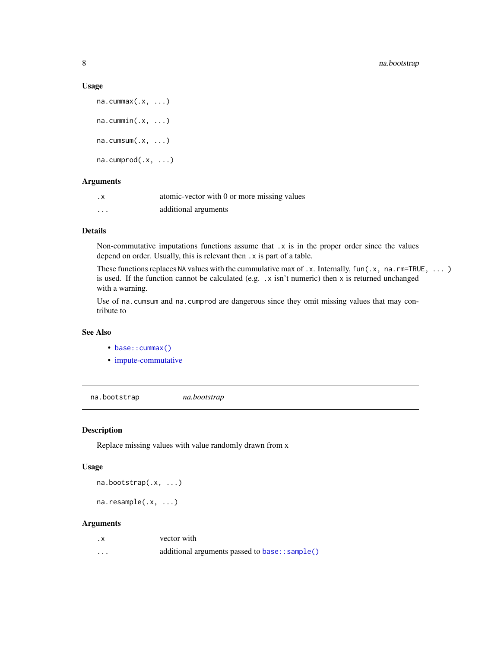#### Usage

```
na.cummax(.x, ...)
na.cummin(.x, ...)na.cumsum(.x, ...)na.cumprod(.x, ...)
```
#### Arguments

| . х                     | atomic-vector with 0 or more missing values |
|-------------------------|---------------------------------------------|
| $\cdot$ $\cdot$ $\cdot$ | additional arguments                        |

## Details

Non-commutative imputations functions assume that x is in the proper order since the values depend on order. Usually, this is relevant then .x is part of a table.

These functions replaces NA values with the cummulative max of .x. Internally,  $fun(x, na.rm=TRUE, ... )$ is used. If the function cannot be calculated (e.g. .x isn't numeric) then x is returned unchanged with a warning.

Use of na.cumsum and na.cumprod are dangerous since they omit missing values that may contribute to

#### See Also

- base:: cummax()
- [impute-commutative](#page-4-1)

na.bootstrap *na.bootstrap*

## Description

Replace missing values with value randomly drawn from x

## Usage

```
na.bootstrap(.x, ...)
```
na.resample(.x, ...)

#### Arguments

| . х                     | vector with                                    |
|-------------------------|------------------------------------------------|
| $\cdot$ $\cdot$ $\cdot$ | additional arguments passed to base:: sample() |

<span id="page-7-0"></span>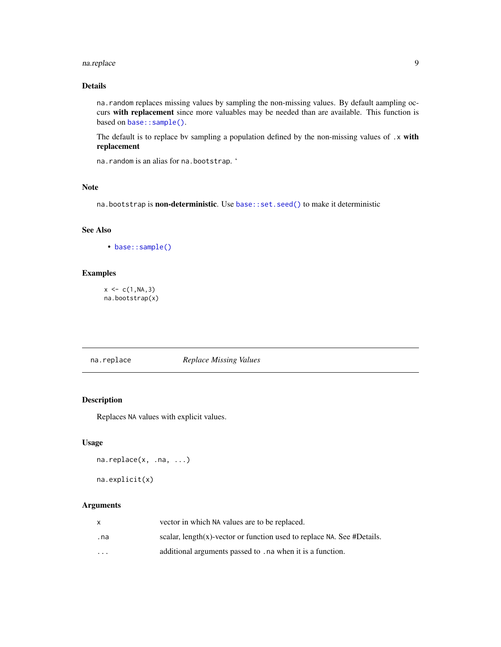#### <span id="page-8-0"></span>na.replace 99

## Details

na.random replaces missing values by sampling the non-missing values. By default aampling occurs with replacement since more valuables may be needed than are available. This function is based on [base::sample\(\)](#page-0-0).

The default is to replace by sampling a population defined by the non-missing values of .x with replacement

na.random is an alias for na.bootstrap. '

#### Note

na.bootstrap is non-deterministic. Use [base::set.seed\(\)](#page-0-0) to make it deterministic

## See Also

• [base::sample\(\)](#page-0-0)

### Examples

 $x \leq -c(1, NA, 3)$ na.bootstrap(x)

#### <span id="page-8-1"></span>na.replace *Replace Missing Values*

## Description

Replaces NA values with explicit values.

#### Usage

```
na.replace(x, .na, ...)
na.explicit(x)
```
## Arguments

| X   | vector in which NA values are to be replaced.                              |
|-----|----------------------------------------------------------------------------|
| .na | scalar, length $(x)$ -vector or function used to replace NA. See #Details. |
| .   | additional arguments passed to . na when it is a function.                 |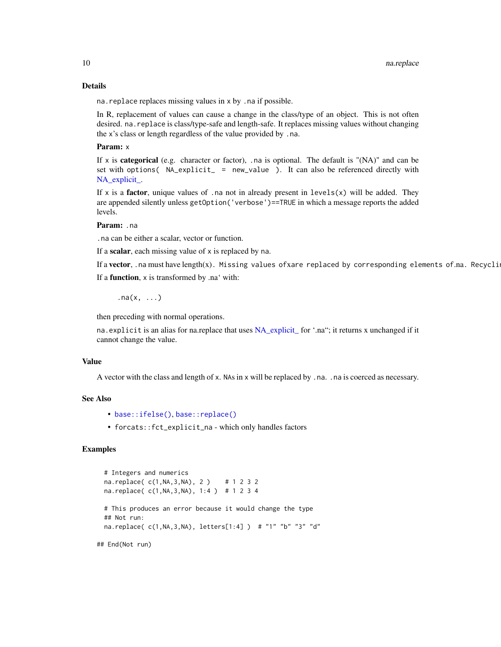#### Details

na.replace replaces missing values in x by .na if possible.

In R, replacement of values can cause a change in the class/type of an object. This is not often desired. na.replace is class/type-safe and length-safe. It replaces missing values without changing the x's class or length regardless of the value provided by .na.

#### Param: x

If x is **categorical** (e.g. character or factor), .na is optional. The default is "(NA)" and can be set with options( $NA$ <sub>explicit</sub> = new\_value). It can also be referenced directly with NA\_explicit.

If x is a **factor**, unique values of .na not in already present in  $levels(x)$  will be added. They are appended silently unless getOption('verbose')==TRUE in which a message reports the added levels.

#### Param: .na

.na can be either a scalar, vector or function.

If a scalar, each missing value of  $x$  is replaced by na.

If a vector, .na must have length(x). Missing values of xare replaced by corresponding elements of.na. Recycli

If a function, x is transformed by .na' with:

.na $(x, \ldots)$ 

then preceding with normal operations.

na.explicit is an alias for na.replace that uses [NA\\_explicit\\_](#page-12-1) for '.na"; it returns x unchanged if it cannot change the value.

#### Value

A vector with the class and length of x. NAs in x will be replaced by .na. .na is coerced as necessary.

#### See Also

- [base::ifelse\(\)](#page-0-0), [base::replace\(\)](#page-0-0)
- forcats::fct\_explicit\_na which only handles factors

## Examples

```
# Integers and numerics
na.replace( c(1,NA,3,NA), 2 ) # 1 2 3 2
na.replace( c(1,NA,3,NA), 1:4 ) # 1 2 3 4
# This produces an error because it would change the type
## Not run:
na.replace( c(1,NA,3,NA), letters[1:4] ) # "1" "b" "3" "d"
```
## End(Not run)

<span id="page-9-0"></span>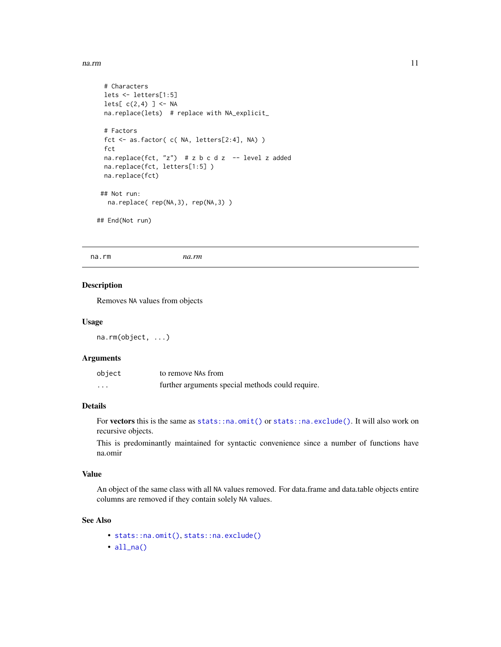#### <span id="page-10-0"></span>na.rm and the contract of the contract of the contract of the contract of the contract of the contract of the contract of the contract of the contract of the contract of the contract of the contract of the contract of the

```
# Characters
 lets <- letters[1:5]
 lets[ c(2,4) ] \leftarrow NAna.replace(lets) # replace with NA_explicit_
 # Factors
 fct <- as.factor( c( NA, letters[2:4], NA) )
 fct
 na.replace(fct, "z") # z b c d z -- level z added
 na.replace(fct, letters[1:5] )
 na.replace(fct)
## Not run:
  na.replace( rep(NA,3), rep(NA,3) )
## End(Not run)
```
na.rm *na.rm*

## Description

Removes NA values from objects

#### Usage

na.rm(object, ...)

#### Arguments

| object | to remove NAs from                               |
|--------|--------------------------------------------------|
| .      | further arguments special methods could require. |

## Details

For vectors this is the same as [stats::na.omit\(\)](#page-0-0) or [stats::na.exclude\(\)](#page-0-0). It will also work on recursive objects.

This is predominantly maintained for syntactic convenience since a number of functions have na.omir

#### Value

An object of the same class with all NA values removed. For data.frame and data.table objects entire columns are removed if they contain solely NA values.

#### See Also

- [stats::na.omit\(\)](#page-0-0), [stats::na.exclude\(\)](#page-0-0)
- [all\\_na\(\)](#page-1-1)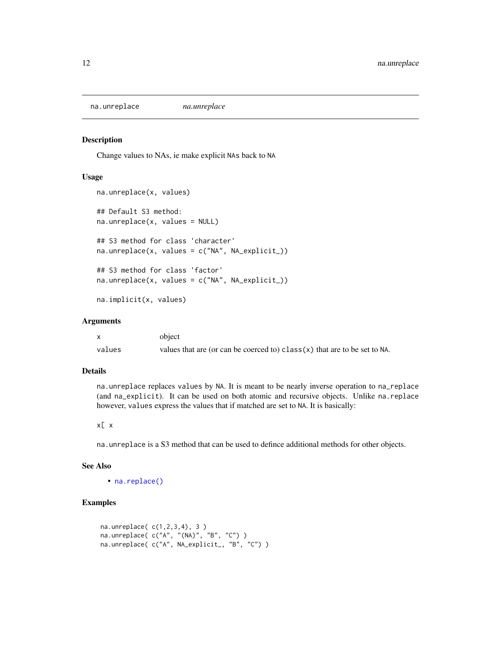<span id="page-11-0"></span>na.unreplace *na.unreplace*

#### Description

Change values to NAs, ie make explicit NAs back to NA

#### Usage

```
na.unreplace(x, values)
## Default S3 method:
na.unreplace(x, values = NULL)
## S3 method for class 'character'
na.unreplace(x, values = c("NA", NA_explicit_))
## S3 method for class 'factor'
na.unreplace(x, values = c("NA", NA_explicit_))
na.implicit(x, values)
```
#### Arguments

|        | object                                                                             |
|--------|------------------------------------------------------------------------------------|
| values | values that are (or can be coerced to) $\text{class}(x)$ that are to be set to NA. |

#### Details

na.unreplace replaces values by NA. It is meant to be nearly inverse operation to na\_replace (and na\_explicit). It can be used on both atomic and recursive objects. Unlike na.replace however, values express the values that if matched are set to NA. It is basically:

### x[ x

na.unreplace is a S3 method that can be used to defince additional methods for other objects.

#### See Also

• [na.replace\(\)](#page-8-1)

## Examples

```
na.unreplace( c(1,2,3,4), 3 )
na.unreplace( c("A", "(NA)", "B", "C") )
na.unreplace( c("A", NA_explicit_, "B", "C") )
```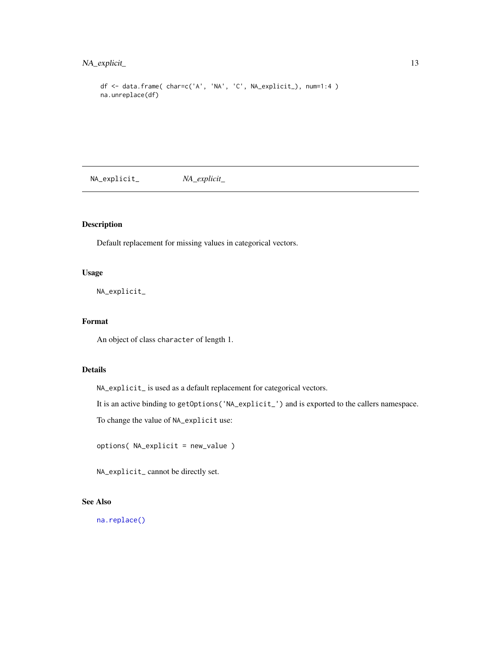## <span id="page-12-0"></span>NA\_explicit\_ 13

```
df <- data.frame( char=c('A', 'NA', 'C', NA_explicit_), num=1:4 )
na.unreplace(df)
```
<span id="page-12-1"></span>NA\_explicit\_ *NA\_explicit\_*

## Description

Default replacement for missing values in categorical vectors.

#### Usage

NA\_explicit\_

## Format

An object of class character of length 1.

## Details

NA\_explicit\_ is used as a default replacement for categorical vectors.

It is an active binding to getOptions('NA\_explicit\_') and is exported to the callers namespace.

To change the value of NA\_explicit use:

options( NA\_explicit = new\_value )

NA\_explicit\_ cannot be directly set.

## See Also

[na.replace\(\)](#page-8-1)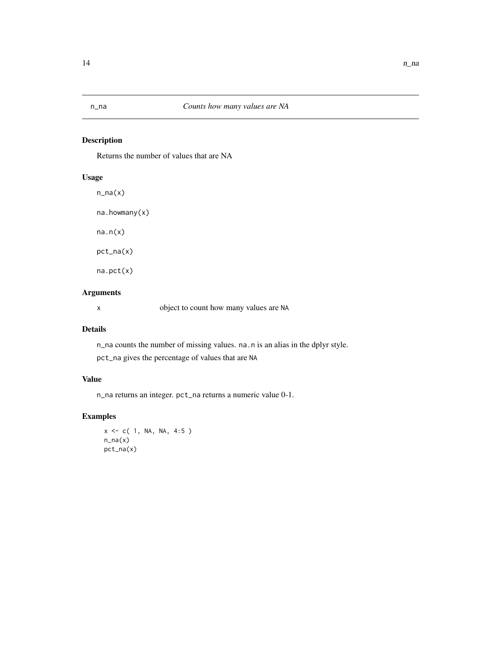## <span id="page-13-0"></span>Description

Returns the number of values that are NA

## Usage

n\_na(x) na.howmany(x)

na.n(x)

pct\_na(x)

na.pct(x)

## Arguments

x object to count how many values are NA

## Details

n\_na counts the number of missing values. na.n is an alias in the dplyr style. pct\_na gives the percentage of values that are NA

## Value

n\_na returns an integer. pct\_na returns a numeric value 0-1.

## Examples

```
x \leq -c(1, NA, NA, 4:5)n\_na(x)pct_na(x)
```